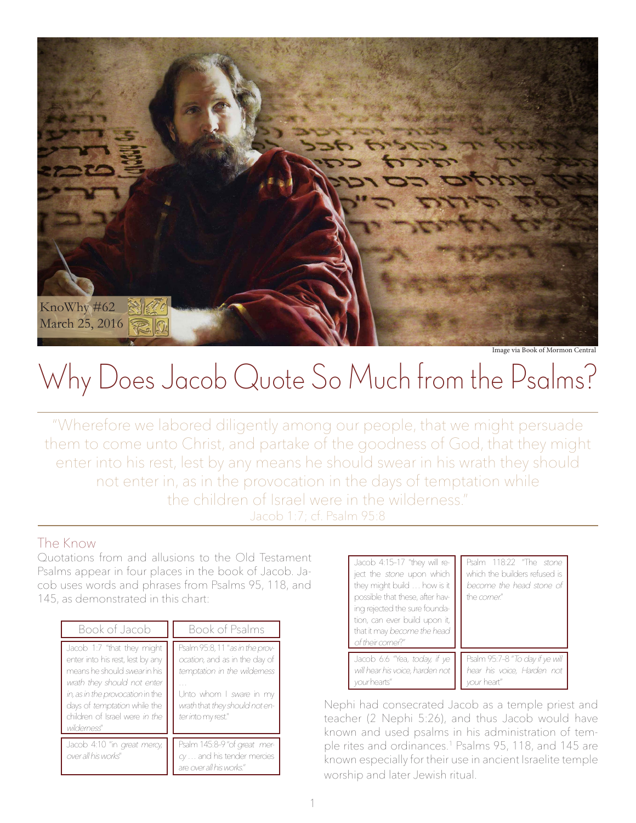

Image via Book of Mormon Central

# Why Does Jacob Quote So Much from the Psalms?

"Wherefore we labored diligently among our people, that we might persuade them to come unto Christ, and partake of the goodness of God, that they might enter into his rest, lest by any means he should swear in his wrath they should not enter in, as in the provocation in the days of temptation while the children of Israel were in the wilderness." Jacob 1:7; cf. Psalm 95:8

#### The Know

Quotations from and allusions to the Old Testament Psalms appear in four places in the book of Jacob. Jacob uses words and phrases from Psalms 95, 118, and 145, as demonstrated in this chart:

| Book of Jacob                                                                                                                                                                                                                                            | Book of Psalms                                                                                                                                                                     |
|----------------------------------------------------------------------------------------------------------------------------------------------------------------------------------------------------------------------------------------------------------|------------------------------------------------------------------------------------------------------------------------------------------------------------------------------------|
| Jacob 1:7 "that they might<br>enter into his rest, lest by any<br>means he should <i>swear</i> in his<br>wrath they should not enter<br>in, as in the provocation in the<br>days of temptation while the<br>children of Israel were in the<br>wildemess" | Psalm 95:8, 11 "as in the prov-<br>ocation, and as in the day of<br>temptation in the wildemess<br>Unto whom I sware in my<br>wrath that they should not en-<br>ter into my rest." |
| Jacob 4:10 "in great mercy,<br>over all his works"                                                                                                                                                                                                       | Psalm 145:8-9 "of great mer-<br>cy  and his tender mercies<br>are over all his works."                                                                                             |

| Jacob 4:15-17 "they will re-<br>ject the stone upon which<br>they might build  how is it<br>possible that these, after hav-<br>ing rejected the sure founda-<br>tion, can ever build upon it,<br>that it may become the head<br>of their corner?" | Psalm 118:22 "The stone<br>which the builders refused is<br>become the head stone of<br>the comer" |
|---------------------------------------------------------------------------------------------------------------------------------------------------------------------------------------------------------------------------------------------------|----------------------------------------------------------------------------------------------------|
| Jacob 6:6 "Yea, today, if ye                                                                                                                                                                                                                      | Psalm 95:7-8 "To day if ye will                                                                    |
| will hear his voice, harden not                                                                                                                                                                                                                   | hear his voice, Harden not                                                                         |
| vour hearts"                                                                                                                                                                                                                                      | vour heart"                                                                                        |

Nephi had consecrated Jacob as a temple priest and teacher (2 Nephi 5:26), and thus Jacob would have known and used psalms in his administration of temple rites and ordinances.1 Psalms 95, 118, and 145 are known especially for their use in ancient Israelite temple worship and later Jewish ritual.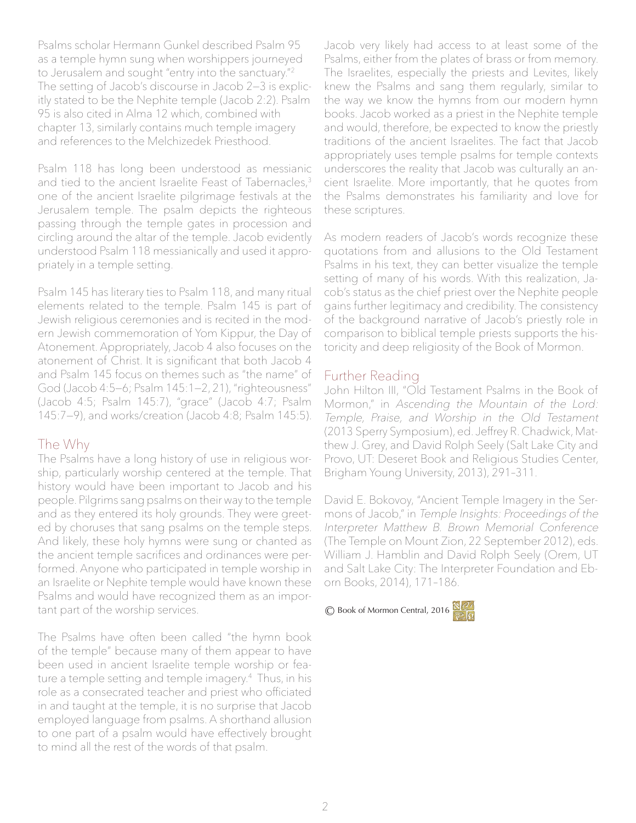Psalms scholar Hermann Gunkel described Psalm 95 as a temple hymn sung when worshippers journeyed to Jerusalem and sought "entry into the sanctuary."2 The setting of Jacob's discourse in Jacob 2—3 is explicitly stated to be the Nephite temple (Jacob 2:2). Psalm 95 is also cited in Alma 12 which, combined with chapter 13, similarly contains much temple imagery and references to the Melchizedek Priesthood.

Psalm 118 has long been understood as messianic and tied to the ancient Israelite Feast of Tabernacles,<sup>3</sup> one of the ancient Israelite pilgrimage festivals at the Jerusalem temple. The psalm depicts the righteous passing through the temple gates in procession and circling around the altar of the temple. Jacob evidently understood Psalm 118 messianically and used it appropriately in a temple setting.

Psalm 145 has literary ties to Psalm 118, and many ritual elements related to the temple. Psalm 145 is part of Jewish religious ceremonies and is recited in the modern Jewish commemoration of Yom Kippur, the Day of Atonement. Appropriately, Jacob 4 also focuses on the atonement of Christ. It is significant that both Jacob 4 and Psalm 145 focus on themes such as "the name" of God (Jacob 4:5—6; Psalm 145:1—2, 21), "righteousness" (Jacob 4:5; Psalm 145:7), "grace" (Jacob 4:7; Psalm 145:7—9), and works/creation (Jacob 4:8; Psalm 145:5).

#### The Why

The Psalms have a long history of use in religious worship, particularly worship centered at the temple. That history would have been important to Jacob and his people. Pilgrims sang psalms on their way to the temple and as they entered its holy grounds. They were greeted by choruses that sang psalms on the temple steps. And likely, these holy hymns were sung or chanted as the ancient temple sacrifices and ordinances were performed. Anyone who participated in temple worship in an Israelite or Nephite temple would have known these Psalms and would have recognized them as an important part of the worship services.

The Psalms have often been called "the hymn book of the temple" because many of them appear to have been used in ancient Israelite temple worship or feature a temple setting and temple imagery.4 Thus, in his role as a consecrated teacher and priest who officiated in and taught at the temple, it is no surprise that Jacob employed language from psalms. A shorthand allusion to one part of a psalm would have effectively brought to mind all the rest of the words of that psalm.

Jacob very likely had access to at least some of the Psalms, either from the plates of brass or from memory. The Israelites, especially the priests and Levites, likely knew the Psalms and sang them regularly, similar to the way we know the hymns from our modern hymn books. Jacob worked as a priest in the Nephite temple and would, therefore, be expected to know the priestly traditions of the ancient Israelites. The fact that Jacob appropriately uses temple psalms for temple contexts underscores the reality that Jacob was culturally an ancient Israelite. More importantly, that he quotes from the Psalms demonstrates his familiarity and love for these scriptures.

As modern readers of Jacob's words recognize these quotations from and allusions to the Old Testament Psalms in his text, they can better visualize the temple setting of many of his words. With this realization, Jacob's status as the chief priest over the Nephite people gains further legitimacy and credibility. The consistency of the background narrative of Jacob's priestly role in comparison to biblical temple priests supports the historicity and deep religiosity of the Book of Mormon.

### Further Reading

John Hilton III, "Old Testament Psalms in the Book of Mormon," in Ascending the Mountain of the Lord: Temple, Praise, and Worship in the Old Testament (2013 Sperry Symposium), ed. Jeffrey R. Chadwick, Matthew J. Grey, and David Rolph Seely (Salt Lake City and Provo, UT: Deseret Book and Religious Studies Center, Brigham Young University, 2013), 291–311.

David E. Bokovoy, "Ancient Temple Imagery in the Sermons of Jacob," in Temple Insights: Proceedings of the Interpreter Matthew B. Brown Memorial Conference (The Temple on Mount Zion, 22 September 2012), eds. William J. Hamblin and David Rolph Seely (Orem, UT and Salt Lake City: The Interpreter Foundation and Eborn Books, 2014), 171–186.

© Book of Mormon Central, 2016